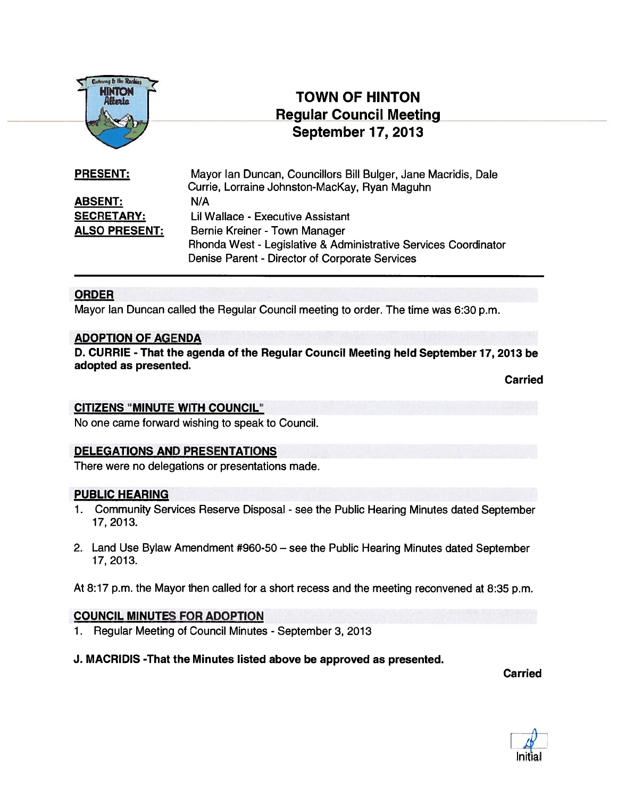

# TOWN OF HINTON Regular Council Meeting September 17, 2013

| <b>PRESENT:</b>      | Mayor Ian Duncan, Councillors Bill Bulger, Jane Macridis, Dale  |
|----------------------|-----------------------------------------------------------------|
|                      | Currie, Lorraine Johnston-MacKay, Ryan Maguhn                   |
| <b>ABSENT:</b>       | N/A                                                             |
| <b>SECRETARY:</b>    | Lil Wallace - Executive Assistant                               |
| <b>ALSO PRESENT:</b> | Bernie Kreiner - Town Manager                                   |
|                      | Rhonda West - Legislative & Administrative Services Coordinator |
|                      | Denise Parent - Director of Corporate Services                  |

#### ORDER

Mayor Ian Duncan called the Regular Council meeting to order. The time was 6:30 p.m.

#### ADOPTION OF AGENDA

D. CURRIE - That the agenda of the Regular Council Meeting held September 17, 2013 be adopted as presented.

Carried

#### CITIZENS 'MINUTE WITH COUNCIL"

No one came forward wishing to speak to Council.

#### DELEGATIONS AND PRESENTATIONS

There were no delegations or presentations made.

#### PUBLIC HEARING

- 1. Community Services Reserve Disposal see the Public Hearing Minutes dated September 17, 2013.
- 2. Land Use Bylaw Amendment #960-50 see the Public Hearing Minutes dated September 17, 2013.

At 8:17 p.m. the Mayor then called for <sup>a</sup> short recess and the meeting reconvened at 8:35 p.m.

#### COUNCIL MINUTES FOR ADOPTION

1. Regular Meeting of Council Minutes - September 3, 2013

#### J. MACRIDIS -That the Minutes listed above be approved as presented.

Carried

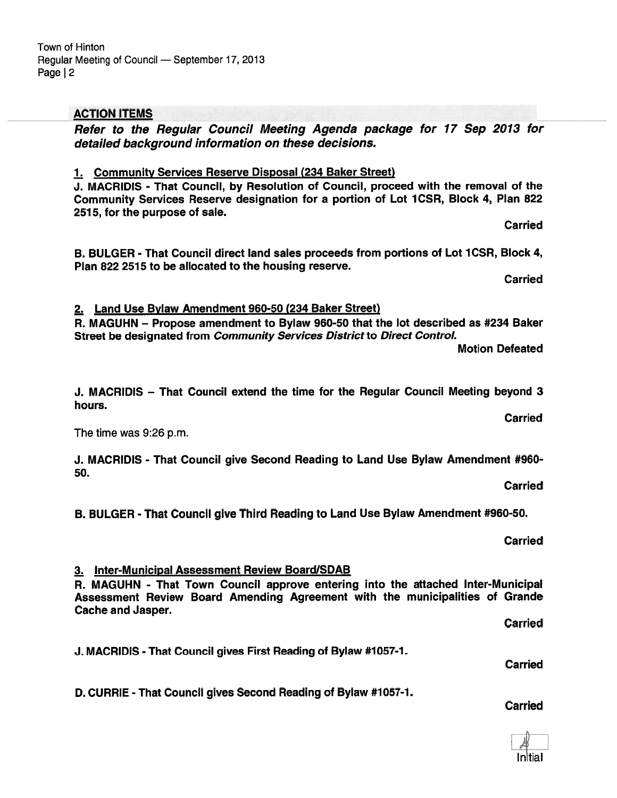# Carried

Carried

**Carried** 

# 2. Land Use Bylaw Amendment 960-50 (234 Baker Street)

R. MAGUHN — Propose amendment to Bylaw 960-50 that the lot described as #234 Baker Street be designated from Community Services District to Direct Control.

Motion Defeated

J. MACRIDIS — That Council extend the time for the Regular Council Meeting beyond 3 hours.

The time was 9:26 p.m.

J. MACRIDIS - That Council give Second Reading to Land Use Bylaw Amendment #960- 50.

B. BULGER - That Council give Third Reading to Land Use Bylaw Amendment #960-50.

3. Inter-Municipal Assessment Review Board/SDAB

R. MAGUHN - That Town Council approve entering into the attached Inter-Municipal Assessment Review Board Amending Agreement with the municipalities of Grande Cache and Jasper.

Carried

J. MACRIDIS -That Council gives First Reading of Bylaw #1057-1.

D. CURRIE - That Council gives Second Reading of Bylaw #1057-1.

ACTION ITEMS

Regular Meeting of Council — September 17, 2013

Town of Hinton

Page | 2

Refer to the Regular Council Meeting Agenda package for 17 Sep 2013 for detailed background information on these decisions.

1. Community Services Reserve Disposal (234 Baker Street) J. MACRIDIS - That Council, by Resolution of Council, proceed with the removal of the

Community Services Reserve designation for <sup>a</sup> portion of Lot 1CSR, Block 4, Plan 822 2515, for the purpose of sale.

B. BULGER - That Council direct land sales proceeds from portions of Lot 1CSR, Block 4, Plan 822 2515 to be allocated to the housing reserve.

Carried

**Carried** 

Carried

Carried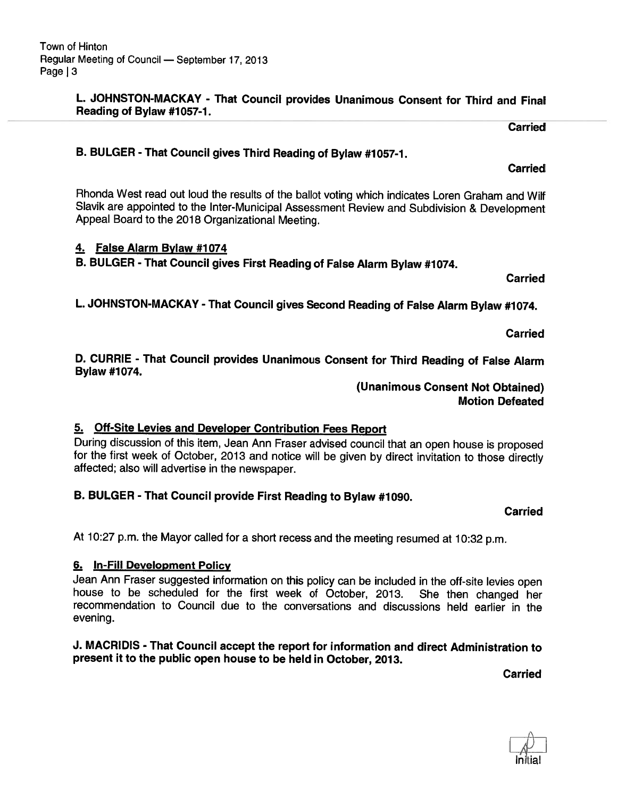#### L. JOHNSTON-MACKAY - That Council provides Unanimous Consent for Third and Final Reading of Bylaw #1057-1.

Carried

B. BULGER - That Council <sup>g</sup>ives Third Reading of Bylaw #1057-1.

Rhonda West read out loud the results of the ballot voting which indicates Loren Graham and Wilf Slavik are appointed to the Inter-Municipal Assessment Review and Subdivision & Development Appeal Board to the <sup>2018</sup> Organizational Meeting.

# 4. False Alarm Bylaw #1074

B. BULGER - That Council gives First Reading of False Alarm Bylaw #1074.

Carried

L. JOHNSTON-MACKAY - That Council gives Second Reading of False Alarm Bylaw #1074.

Carried

D. CURRIE - That Council provides Unanimous Consent for Third Reading of False Alarm Bylaw #1074.

> (Unanimous Consent Not Obtained) Motion Defeated

## 5. Off-Site Levies and Developer Contribution Fees Report

During discussion of this item, Jean Ann Fraser advised council that an open house is proposed for the first week of October, <sup>2013</sup> and notice will be <sup>g</sup>iven by direct invitation to those directly affected; also will advertise in the newspaper.

# B. BULGER - That Council provide First Reading to Bylaw #1090.

Carried

At 10:27 p.m. the Mayor called for <sup>a</sup> short recess and the meeting resumed at 10:32 p.m.

# 6. In-Fill Development Policy

Jean Ann Fraser suggested information on this policy can be included in the off-site levies open house to be scheduled for the first week of October, 2013. She then changed her recommendation to Council due to the conversations and discussions held earlier in the evening.

#### J. MACRIDIS - That Council accept the report for information and direct Administration to present it to the public open house to be held in October, 2013.

Carried

**Carried**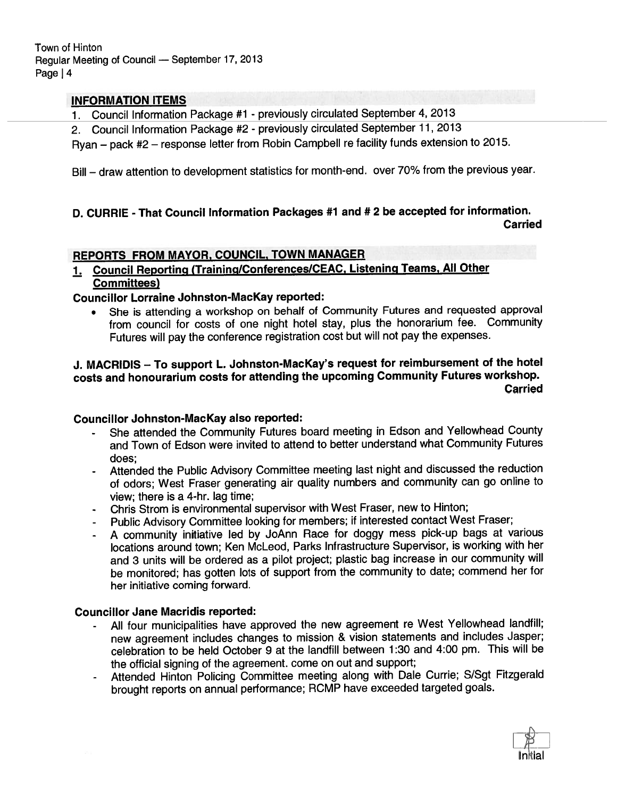Town of Hinton Regular Meeting of Council — September 17, <sup>2013</sup> Page | 4

#### INFORMATION ITEMS

1. Council Information Package #1 - previously circulated September 4, <sup>2013</sup>

2. Council Information Package #2 - previously circulated September 11,2013

Ryan — pac<sup>k</sup> #2 — response letter from Robin Campbell re facility funds extension to 2015.

Bill — draw attention to development statistics for month-end. over 70% from the previous year.

# D. CURRIE - That Council Information Packages #1 and # <sup>2</sup> be accepted for information. **Carried**

#### REPORTS FROM MAYOR, COUNCIL, TOWN MANAGER

# 1. Council Reporting (Training/Conferences/CEAC, Listening Teams, All Other Committees)

#### Councillor Lorraine Johnston-Mackay reported:

 She is attending <sup>a</sup> workshop on behalf of Community Futures and requested approva<sup>l</sup> from council for costs of one night hotel stay, <sup>p</sup>lus the honorarium fee. Community Futures will pay the conference registration cost but will not pay the expenses.

### J. MACRIDIS — To suppor<sup>t</sup> L. Johnston-Mackay's reques<sup>t</sup> for reimbursement of the hotel costs and honourarium costs for attending the upcoming Community Futures workshop. Carried

#### Councillor Johnston-Mackay also reported:

- She attended the Community Futures board meeting in Edson and Yellowhead County and Town of Edson were invited to attend to better understand what Community Futures does;
- Attended the Public Advisory Committee meeting last night and discussed the reduction of odors; West Fraser generating air quality numbers and community can go online to view; there is <sup>a</sup> 4-hr. lag time;
- Chris Strom is environmental supervisor with West Fraser, new to Hinton;
- Public Advisory Committee looking for members; if interested contact West Fraser;
- <sup>A</sup> community initiative led by JoAnn Race for doggy mess <sup>p</sup>ick-up bags at various locations around town; Ken McLeod, Parks Infrastructure Supervisor, is working with her and <sup>3</sup> units will be ordered as <sup>a</sup> <sup>p</sup>ilot project; <sup>p</sup>lastic bag increase in our community will be monitored; has gotten lots of suppor<sup>t</sup> from the community to date; commend her for her initiative coming forward.

### Councillor Jane Macridis reported:

- All four municipalities have approve<sup>d</sup> the new agreemen<sup>t</sup> re West Yellowhead landfill; new agreemen<sup>t</sup> includes changes to mission & vision statements and includes Jasper; celebration to be held October 9 at the landfill between 1:30 and 4:00 pm. This will be the official signing of the agreement. come on out and support;
- Attended Hinton Policing Committee meeting along with Dale Currie; S/Sgt Fitzgerald brought reports on annual performance; RCMP have exceeded targeted goals.

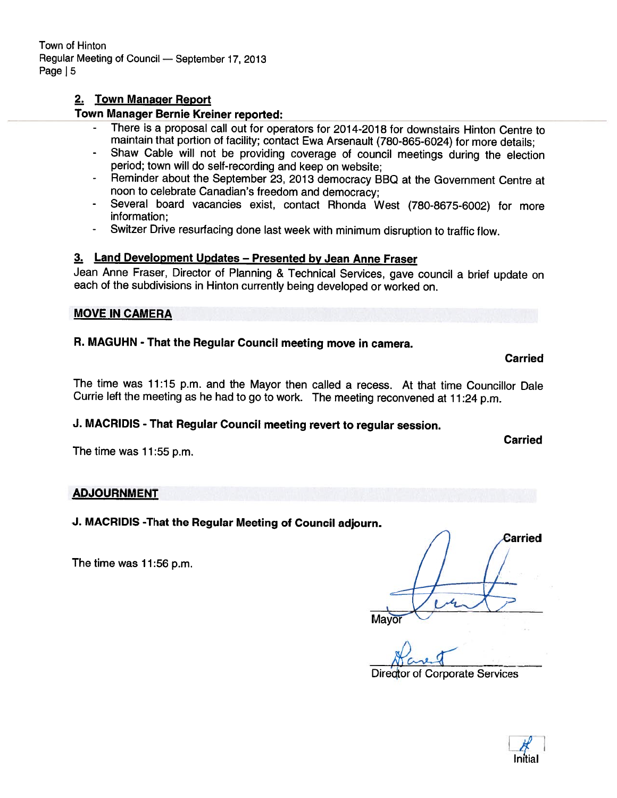# 2. Town Manager Report

# Town Manager Bernie Kreiner reported:

- There is <sup>a</sup> proposal call out for operators for 2014-2018 for downstairs Hinton Centre to maintain that portion of facility; contact Ewa Arsenault (780-865-6024) for more details;
- Shaw Cable will not be providing coverage of council meetings during the election period; town will do self-recording and keep on website;
- Reminder about the September 23, <sup>2013</sup> democracy BBQ at the Government Centre at noon to celebrate Canadian's freedom and democracy;
- Several board vacancies exist, contact Rhonda West (780-8675-6002) for more information;
- -Switzer Drive resurfacing done last week with minimum disruption to traffic flow.

### 3. Land Development Updates — Presented by Jean Anne Fraser

Jean Anne Fraser, Director of Planning & Technical Services, gave council <sup>a</sup> brief update on each of the subdivisions in Hinton currently being developed or worked on.

#### MOVE IN CAMERA

# R. MAGUHN - That the Regular Council meeting move in camera.

#### Carried

Carried

The time was 11:15 p.m. and the Mayor then called <sup>a</sup> recess. At that time Councillor Dale Currie left the meeting as he had to go to work. The meeting reconvened at 11:24 p.m.

# J. MACRIDIS - That Regular Council meeting revert to regular session.

The time was 11:55 p.m.

## ADJOURNMENT

# J. MACRIDIS -That the Regular Meeting of Council adjourn.

The time was 11:56 p.m.

Carried

 $\sqrt{a+1}$ Director of Corporate Services